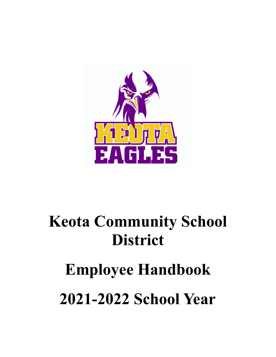

# **Keota Community School District**

# **Employee Handbook 2021-2022 School Year**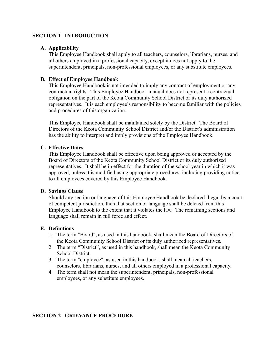# **SECTION 1 INTRODUCTION**

# **A. Applicability**

This Employee Handbook shall apply to all teachers, counselors, librarians, nurses, and all others employed in a professional capacity, except it does not apply to the superintendent, principals, non-professional employees, or any substitute employees.

# **B. Effect of Employee Handbook**

This Employee Handbook is not intended to imply any contract of employment or any contractual rights. This Employee Handbook manual does not represent a contractual obligation on the part of the Keota Community School District or its duly authorized representatives. It is each employee's responsibility to become familiar with the policies and procedures of this organization.

This Employee Handbook shall be maintained solely by the District. The Board of Directors of the Keota Community School District and/or the District's administration has the ability to interpret and imply provisions of the Employee Handbook.

# **C. Effective Dates**

This Employee Handbook shall be effective upon being approved or accepted by the Board of Directors of the Keota Community School District or its duly authorized representatives. It shall be in effect for the duration of the school year in which it was approved, unless it is modified using appropriate procedures, including providing notice to all employees covered by this Employee Handbook.

# **D. Savings Clause**

Should any section or language of this Employee Handbook be declared illegal by a court of competent jurisdiction, then that section or language shall be deleted from this Employee Handbook to the extent that it violates the law. The remaining sections and language shall remain in full force and effect.

# **E. Definitions**

- 1. The term "Board", as used in this handbook, shall mean the Board of Directors of the Keota Community School District or its duly authorized representatives.
- 2. The term "District", as used in this handbook, shall mean the Keota Community School District.
- 3. The term "employee", as used in this handbook, shall mean all teachers, counselors, librarians, nurses, and all others employed in a professional capacity.
- 4. The term shall not mean the superintendent, principals, non-professional employees, or any substitute employees.

# **SECTION 2 GRIEVANCE PROCEDURE**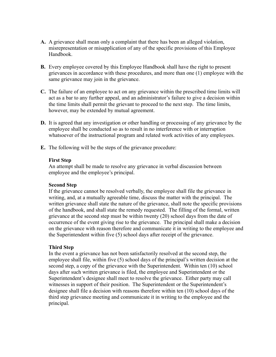- **A.** A grievance shall mean only a complaint that there has been an alleged violation, misrepresentation or misapplication of any of the specific provisions of this Employee Handbook.
- **B.** Every employee covered by this Employee Handbook shall have the right to present grievances in accordance with these procedures, and more than one (1) employee with the same grievance may join in the grievance.
- **C.** The failure of an employee to act on any grievance within the prescribed time limits will act as a bar to any further appeal, and an administrator's failure to give a decision within the time limits shall permit the grievant to proceed to the next step. The time limits, however, may be extended by mutual agreement.
- **D.** It is agreed that any investigation or other handling or processing of any grievance by the employee shall be conducted so as to result in no interference with or interruption whatsoever of the instructional program and related work activities of any employees.
- **E.** The following will be the steps of the grievance procedure:

#### **First Step**

An attempt shall be made to resolve any grievance in verbal discussion between employee and the employee's principal.

# **Second Step**

If the grievance cannot be resolved verbally, the employee shall file the grievance in writing, and, at a mutually agreeable time, discuss the matter with the principal. The written grievance shall state the nature of the grievance, shall note the specific provisions of the handbook, and shall state the remedy requested. The filling of the formal, written grievance at the second step must be within twenty (20) school days from the date of occurrence of the event giving rise to the grievance. The principal shall make a decision on the grievance with reason therefore and communicate it in writing to the employee and the Superintendent within five (5) school days after receipt of the grievance.

# **Third Step**

In the event a grievance has not been satisfactorily resolved at the second step, the employee shall file, within five (5) school days of the principal's written decision at the second step, a copy of the grievance with the Superintendent. Within ten (10) school days after such written grievance is filed, the employee and Superintendent or the Superintendent's designee shall meet to resolve the grievance. Either party may call witnesses in support of their position. The Superintendent or the Superintendent's designee shall file a decision with reasons therefore within ten (10) school days of the third step grievance meeting and communicate it in writing to the employee and the principal.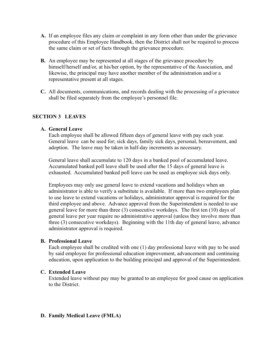- **A.** If an employee files any claim or complaint in any form other than under the grievance procedure of this Employee Handbook, then the District shall not be required to process the same claim or set of facts through the grievance procedure.
- **B.** An employee may be represented at all stages of the grievance procedure by himself/herself and/or, at his/her option, by the representative of the Association, and likewise, the principal may have another member of the administration and/or a representative present at all stages.
- **C.** All documents, communications, and records dealing with the processing of a grievance shall be filed separately from the employee's personnel file.

# **SECTION 3 LEAVES**

# **A. General Leave**

Each employee shall be allowed fifteen days of general leave with pay each year. General leave can be used for; sick days, family sick days, personal, bereavement, and adoption. The leave may be taken in half-day increments as necessary.

General leave shall accumulate to 120 days in a banked pool of accumulated leave. Accumulated banked poll leave shall be used after the 15 days of general leave is exhausted. Accumulated banked poll leave can be used as employee sick days only.

Employees may only use general leave to extend vacations and holidays when an administrator is able to verify a substitute is available. If more than two employees plan to use leave to extend vacations or holidays, administrator approval is required for the third employee and above. Advance approval from the Superintendent is needed to use general leave for more than three (3) consecutive workdays. The first ten (10) days of general leave per year require no administrative approval (unless they involve more than three (3) consecutive workdays). Beginning with the 11th day of general leave, advance administrator approval is required.

# **B. Professional Leave**

Each employee shall be credited with one (1) day professional leave with pay to be used by said employee for professional education improvement, advancement and continuing education, upon application to the building principal and approval of the Superintendent.

#### **C. Extended Leave**

Extended leave without pay may be granted to an employee for good cause on application to the District.

# **D. Family Medical Leave (FMLA)**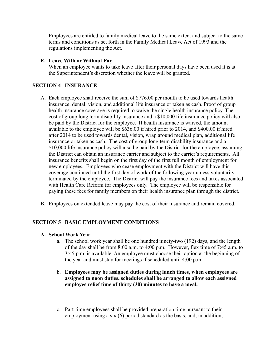Employees are entitled to family medical leave to the same extent and subject to the same terms and conditions as set forth in the Family Medical Leave Act of 1993 and the regulations implementing the Act.

# **E. Leave With or Without Pay**

When an employee wants to take leave after their personal days have been used it is at the Superintendent's discretion whether the leave will be granted.

# **SECTION 4 INSURANCE**

- A. Each employee shall receive the sum of \$776.00 per month to be used towards health insurance, dental, vision, and additional life insurance or taken as cash. Proof of group health insurance coverage is required to waive the single health insurance policy. The cost of group long term disability insurance and a \$10,000 life insurance policy will also be paid by the District for the employee. If health insurance is waived, the amount available to the employee will be \$636.00 if hired prior to 2014, and \$400.00 if hired after 2014 to be used towards dental, vision, wrap around medical plan, additional life insurance or taken as cash. The cost of group long term disability insurance and a \$10,000 life insurance policy will also be paid by the District for the employee, assuming the District can obtain an insurance carrier and subject to the carrier's requirements. All insurance benefits shall begin on the first day of the first full month of employment for new employees. Employees who cease employment with the District will have this coverage continued until the first day of work of the following year unless voluntarily terminated by the employee. The District will pay the insurance fees and taxes associated with Health Care Reform for employees only. The employee will be responsible for paying these fees for family members on their health insurance plan through the district.
- B. Employees on extended leave may pay the cost of their insurance and remain covered.

# **SECTION 5 BASIC EMPLOYMENT CONDITIONS**

# **A. School Work Year**

- a. The school work year shall be one hundred ninety-two (192) days, and the length of the day shall be from 8:00 a.m. to 4:00 p.m. However, flex time of 7:45 a.m. to 3:45 p.m. is available. An employee must choose their option at the beginning of the year and must stay for meetings if scheduled until 4:00 p.m.
- b. **Employees may be assigned duties during lunch times, when employees are assigned to noon duties, schedules shall be arranged to allow each assigned employee relief time of thirty (30) minutes to have a meal.**
- c. Part-time employees shall be provided preparation time pursuant to their employment using a six (6) period standard as the basis, and, in addition,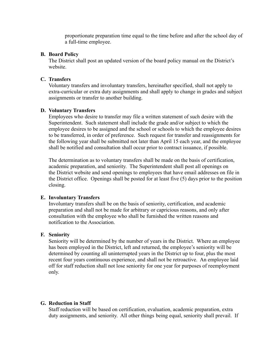proportionate preparation time equal to the time before and after the school day of a full-time employee.

# **B. Board Policy**

The District shall post an updated version of the board policy manual on the District's website.

#### **C. Transfers**

Voluntary transfers and involuntary transfers, hereinafter specified, shall not apply to extra-curricular or extra duty assignments and shall apply to change in grades and subject assignments or transfer to another building.

# **D. Voluntary Transfers**

Employees who desire to transfer may file a written statement of such desire with the Superintendent. Such statement shall include the grade and/or subject to which the employee desires to be assigned and the school or schools to which the employee desires to be transferred, in order of preference. Such request for transfer and reassignments for the following year shall be submitted not later than April 15 each year, and the employee shall be notified and consultation shall occur prior to contract issuance, if possible.

The determination as to voluntary transfers shall be made on the basis of certification, academic preparation, and seniority. The Superintendent shall post all openings on the District website and send openings to employees that have email addresses on file in the District office. Openings shall be posted for at least five (5) days prior to the position closing.

#### **E. Involuntary Transfers**

Involuntary transfers shall be on the basis of seniority, certification, and academic preparation and shall not be made for arbitrary or capricious reasons, and only after consultation with the employee who shall be furnished the written reasons and notification to the Association.

#### **F. Seniority**

Seniority will be determined by the number of years in the District. Where an employee has been employed in the District, left and returned, the employee's seniority will be determined by counting all uninterrupted years in the District up to four, plus the most recent four years continuous experience, and shall not be retroactive. An employee laid off for staff reduction shall not lose seniority for one year for purposes of reemployment only.

# **G. Reduction in Staff**

Staff reduction will be based on certification, evaluation, academic preparation, extra duty assignments, and seniority. All other things being equal, seniority shall prevail. If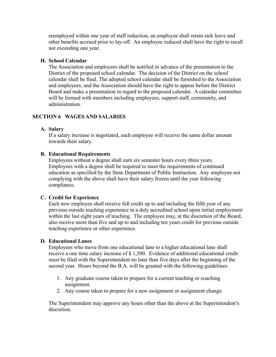reemployed within one year of staff reduction, an employee shall retain sick leave and other benefits accrued prior to lay-off. An employee reduced shall have the right to recall not exceeding one year.

# **H. School Calendar**

The Association and employees shall be notified in advance of the presentation to the District of the proposed school calendar. The decision of the District on the school calendar shall be final. The adopted school calendar shall be furnished to the Association and employees, and the Association should have the right to appear before the District Board and make a presentation in regard to the proposed calendar. A calendar committee will be formed with members including employees, support staff, community, and administration.

# **SECTION 6 WAGES AND SALARIES**

# **A. Salary**

If a salary increase is negotiated, each employee will receive the same dollar amount towards their salary.

# **B. Educational Requirements**

Employees without a degree shall earn six semester hours every three years. Employees with a degree shall be required to meet the requirements of continued education as specified by the State Department of Public Instruction. Any employee not complying with the above shall have their salary frozen until the year following compliance.

# **C. Credit for Experience**

Each new employee shall receive full credit up to and including the fifth year of any previous outside teaching experience in a duly accredited school upon initial employment within the last eight years of teaching. The employee may, at the discretion of the Board, also receive more than five and up to and including ten years credit for previous outside teaching experience or other experience.

# **D. Educational Lanes**

Employees who move from one educational lane to a higher educational lane shall receive a one time salary increase of \$ 1,500. Evidence of additional educational credit must be filed with the Superintendent no later than five days after the beginning of the second year. Hours beyond the B.A. will be granted with the following guidelines:

- 1. Any graduate course taken to prepare for a current teaching or coaching assignment.
- 2. Any course taken to prepare for a new assignment or assignment change.

The Superintendent may approve any hours other than the above at the Superintendent's discretion.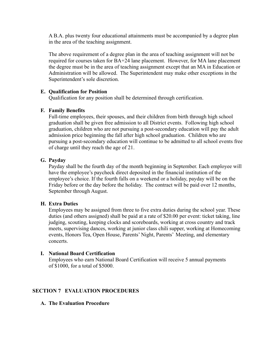A B.A. plus twenty four educational attainments must be accompanied by a degree plan in the area of the teaching assignment.

The above requirement of a degree plan in the area of teaching assignment will not be required for courses taken for BA+24 lane placement. However, for MA lane placement the degree must be in the area of teaching assignment except that an MA in Education or Administration will be allowed. The Superintendent may make other exceptions in the Superintendent's sole discretion.

# **E. Qualification for Position**

Qualification for any position shall be determined through certification.

# **F. Family Benefits**

Full-time employees, their spouses, and their children from birth through high school graduation shall be given free admission to all District events. Following high school graduation, children who are not pursuing a post-secondary education will pay the adult admission price beginning the fall after high school graduation. Children who are pursuing a post-secondary education will continue to be admitted to all school events free of charge until they reach the age of 21.

# **G. Payday**

Payday shall be the fourth day of the month beginning in September. Each employee will have the employee's paycheck direct deposited in the financial institution of the employee's choice. If the fourth falls on a weekend or a holiday, payday will be on the Friday before or the day before the holiday. The contract will be paid over 12 months, September through August.

# **H. Extra Duties**

Employees may be assigned from three to five extra duties during the school year. These duties (and others assigned) shall be paid at a rate of \$20.00 per event: ticket taking, line judging, scouting, keeping clocks and scoreboards, working at cross country and track meets, supervising dances, working at junior class chili supper, working at Homecoming events, Honors Tea, Open House, Parents' Night, Parents' Meeting, and elementary concerts.

# **I. National Board Certification**

Employees who earn National Board Certification will receive 5 annual payments of \$1000, for a total of \$5000.

# **SECTION 7 EVALUATION PROCEDURES**

# **A. The Evaluation Procedure**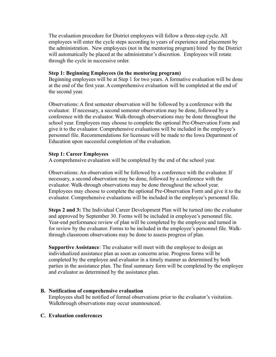The evaluation procedure for District employees will follow a three-step cycle. All employees will enter the cycle steps according to years of experience and placement by the administration. New employees (not in the mentoring program) hired by the District will automatically be placed at the administrator's discretion. Employees will rotate through the cycle in successive order.

# **Step 1: Beginning Employees (in the mentoring program)**

Beginning employees will be at Step 1 for two years. A formative evaluation will be done at the end of the first year. A comprehensive evaluation will be completed at the end of the second year.

Observations: A first semester observation will be followed by a conference with the evaluator. If necessary, a second semester observation may be done, followed by a conference with the evaluator. Walk-through observations may be done throughout the school year. Employees may choose to complete the optional Pre-Observation Form and give it to the evaluator. Comprehensive evaluations will be included in the employee's personnel file. Recommendations for licensure will be made to the Iowa Department of Education upon successful completion of the evaluation.

# **Step 1: Career Employees**

A comprehensive evaluation will be completed by the end of the school year.

Observations: An observation will be followed by a conference with the evaluator. If necessary, a second observation may be done, followed by a conference with the evaluator. Walk-through observations may be done throughout the school year. Employees may choose to complete the optional Pre-Observation Form and give it to the evaluator. Comprehensive evaluations will be included in the employee's personnel file.

**Steps 2 and 3:** The Individual Career Development Plan will be turned into the evaluator and approved by September 30. Forms will be included in employee's personnel file. Year-end performance review of plan will be completed by the employee and turned in for review by the evaluator. Forms to be included in the employee's personnel file. Walkthrough classroom observations may be done to assess progress of plan.

**Supportive Assistance**: The evaluator will meet with the employee to design an individualized assistance plan as soon as concerns arise. Progress forms will be completed by the employee and evaluator in a timely manner as determined by both parties in the assistance plan. The final summary form will be completed by the employee and evaluator as determined by the assistance plan.

# **B. Notification of comprehensive evaluation**

Employees shall be notified of formal observations prior to the evaluator's visitation. Walkthrough observations may occur unannounced.

# **C. Evaluation conferences**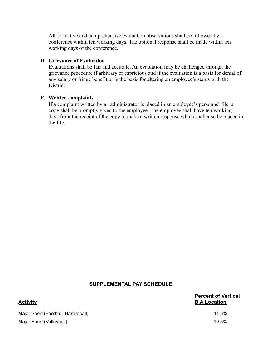All formative and comprehensive evaluation observations shall be followed by a conference within ten working days. The optional response shall be made within ten working days of the conference.

# **D. Grievance of Evaluation**

Evaluations shall be fair and accurate. An evaluation may be challenged through the grievance procedure if arbitrary or capricious and if the evaluation is a basis for denial of any salary or fringe benefit or is the basis for altering an employee's status with the District.

# **E. Written complaints**

If a complaint written by an administrator is placed in an employee's personnel file, a copy shall be promptly given to the employee. The employee shall have ten working days from the receipt of the copy to make a written response which shall also be placed in the file.

# **SUPPLEMENTAL PAY SCHEDULE**

| Activity                           | <b>Percent of Vertical</b><br><b>B.A Location</b> |
|------------------------------------|---------------------------------------------------|
| Major Sport (Football, Basketball) | 11.5%                                             |
| Major Sport (Volleyball)           | 10.5%                                             |